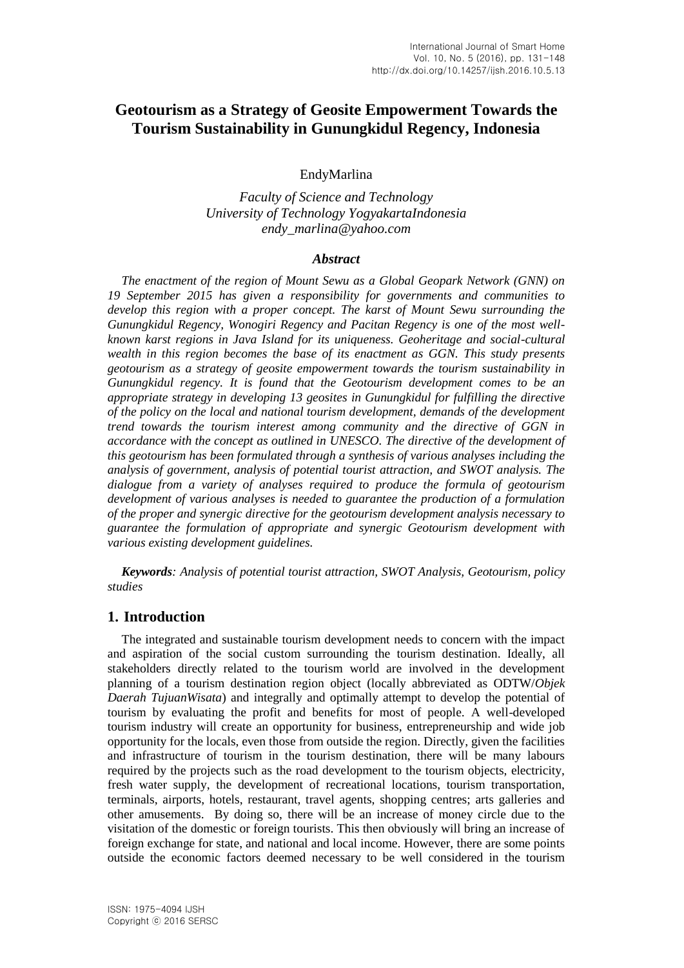# **Geotourism as a Strategy of Geosite Empowerment Towards the Tourism Sustainability in Gunungkidul Regency, Indonesia**

EndyMarlina

*Faculty of Science and Technology University of Technology YogyakartaIndonesia endy\_marlina@yahoo.com*

#### *Abstract*

*The enactment of the region of Mount Sewu as a Global Geopark Network (GNN) on 19 September 2015 has given a responsibility for governments and communities to develop this region with a proper concept. The karst of Mount Sewu surrounding the Gunungkidul Regency, Wonogiri Regency and Pacitan Regency is one of the most wellknown karst regions in Java Island for its uniqueness. Geoheritage and social-cultural wealth in this region becomes the base of its enactment as GGN. This study presents geotourism as a strategy of geosite empowerment towards the tourism sustainability in Gunungkidul regency. It is found that the Geotourism development comes to be an appropriate strategy in developing 13 geosites in Gunungkidul for fulfilling the directive of the policy on the local and national tourism development, demands of the development trend towards the tourism interest among community and the directive of GGN in accordance with the concept as outlined in UNESCO. The directive of the development of this geotourism has been formulated through a synthesis of various analyses including the analysis of government, analysis of potential tourist attraction, and SWOT analysis. The dialogue from a variety of analyses required to produce the formula of geotourism development of various analyses is needed to guarantee the production of a formulation of the proper and synergic directive for the geotourism development analysis necessary to guarantee the formulation of appropriate and synergic Geotourism development with various existing development guidelines.*

*Keywords: Analysis of potential tourist attraction, SWOT Analysis, Geotourism, policy studies*

### **1. Introduction**

The integrated and sustainable tourism development needs to concern with the impact and aspiration of the social custom surrounding the tourism destination. Ideally, all stakeholders directly related to the tourism world are involved in the development planning of a tourism destination region object (locally abbreviated as ODTW/*Objek Daerah TujuanWisata*) and integrally and optimally attempt to develop the potential of tourism by evaluating the profit and benefits for most of people. A well-developed tourism industry will create an opportunity for business, entrepreneurship and wide job opportunity for the locals, even those from outside the region. Directly, given the facilities and infrastructure of tourism in the tourism destination, there will be many labours required by the projects such as the road development to the tourism objects, electricity, fresh water supply, the development of recreational locations, tourism transportation, terminals, airports, hotels, restaurant, travel agents, shopping centres; arts galleries and other amusements. By doing so, there will be an increase of money circle due to the visitation of the domestic or foreign tourists. This then obviously will bring an increase of foreign exchange for state, and national and local income. However, there are some points outside the economic factors deemed necessary to be well considered in the tourism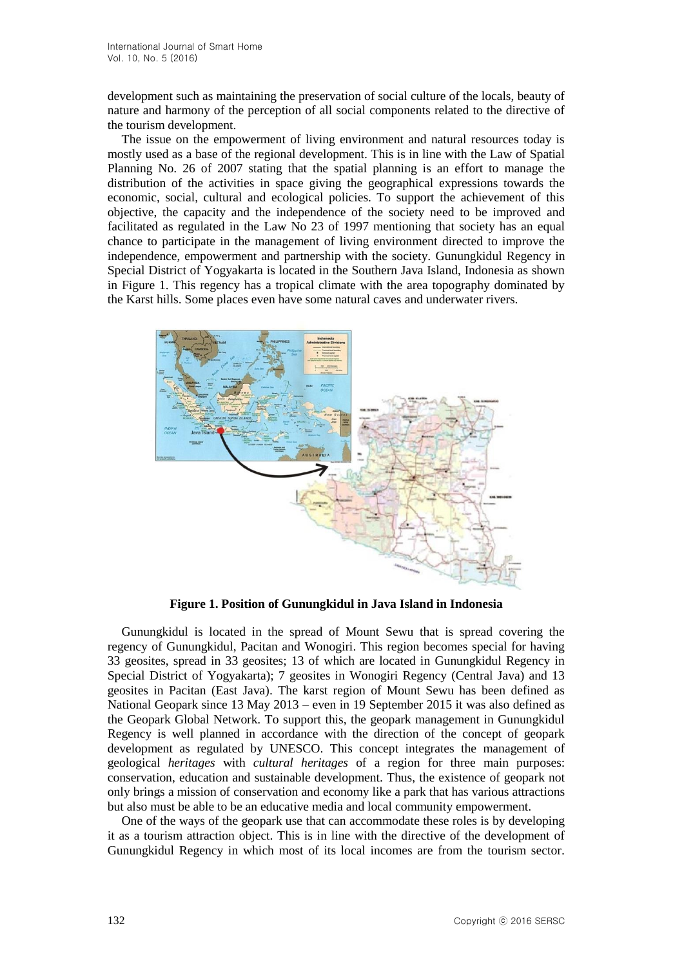development such as maintaining the preservation of social culture of the locals, beauty of nature and harmony of the perception of all social components related to the directive of the tourism development.

The issue on the empowerment of living environment and natural resources today is mostly used as a base of the regional development. This is in line with the Law of Spatial Planning No. 26 of 2007 stating that the spatial planning is an effort to manage the distribution of the activities in space giving the geographical expressions towards the economic, social, cultural and ecological policies. To support the achievement of this objective, the capacity and the independence of the society need to be improved and facilitated as regulated in the Law No 23 of 1997 mentioning that society has an equal chance to participate in the management of living environment directed to improve the independence, empowerment and partnership with the society. Gunungkidul Regency in Special District of Yogyakarta is located in the Southern Java Island, Indonesia as shown in Figure 1. This regency has a tropical climate with the area topography dominated by the Karst hills. Some places even have some natural caves and underwater rivers.



**Figure 1. Position of Gunungkidul in Java Island in Indonesia**

Gunungkidul is located in the spread of Mount Sewu that is spread covering the regency of Gunungkidul, Pacitan and Wonogiri. This region becomes special for having 33 geosites, spread in 33 geosites; 13 of which are located in Gunungkidul Regency in Special District of Yogyakarta); 7 geosites in Wonogiri Regency (Central Java) and 13 geosites in Pacitan (East Java). The karst region of Mount Sewu has been defined as National Geopark since 13 May 2013 – even in 19 September 2015 it was also defined as the Geopark Global Network. To support this, the geopark management in Gunungkidul Regency is well planned in accordance with the direction of the concept of geopark development as regulated by UNESCO. This concept integrates the management of geological *heritages* with *cultural heritages* of a region for three main purposes: conservation, education and sustainable development. Thus, the existence of geopark not only brings a mission of conservation and economy like a park that has various attractions but also must be able to be an educative media and local community empowerment.

One of the ways of the geopark use that can accommodate these roles is by developing it as a tourism attraction object. This is in line with the directive of the development of Gunungkidul Regency in which most of its local incomes are from the tourism sector.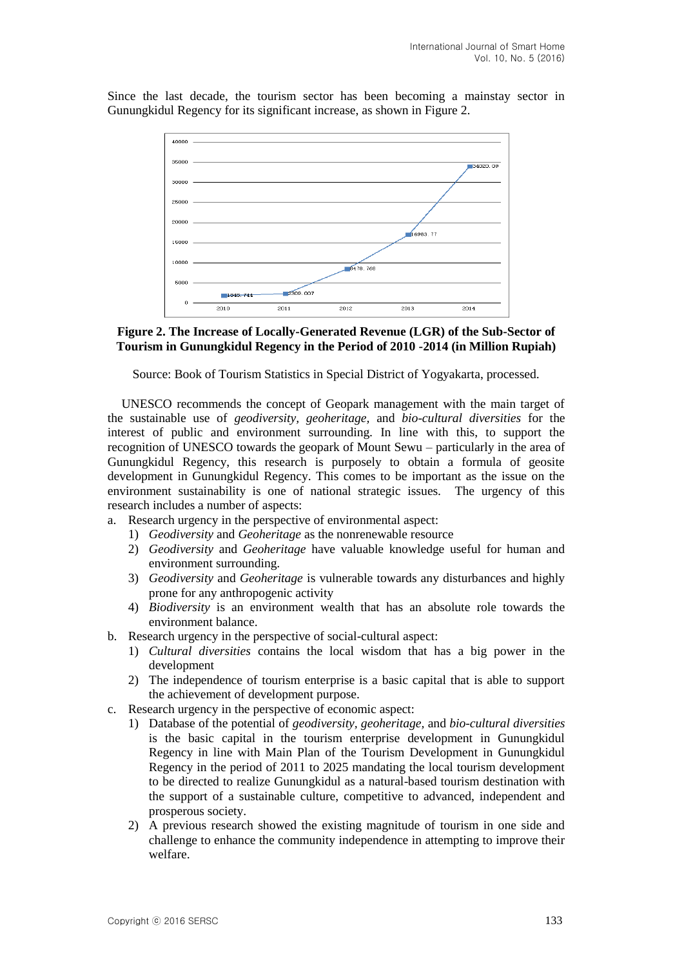Since the last decade, the tourism sector has been becoming a mainstay sector in Gunungkidul Regency for its significant increase, as shown in Figure 2.





Source: Book of Tourism Statistics in Special District of Yogyakarta, processed.

UNESCO recommends the concept of Geopark management with the main target of the sustainable use of *geodiversity, geoheritage,* and *bio-cultural diversities* for the interest of public and environment surrounding. In line with this, to support the recognition of UNESCO towards the geopark of Mount Sewu – particularly in the area of Gunungkidul Regency, this research is purposely to obtain a formula of geosite development in Gunungkidul Regency. This comes to be important as the issue on the environment sustainability is one of national strategic issues. The urgency of this research includes a number of aspects:

- a. Research urgency in the perspective of environmental aspect:
	- 1) *Geodiversity* and *Geoheritage* as the nonrenewable resource
	- 2) *Geodiversity* and *Geoheritage* have valuable knowledge useful for human and environment surrounding.
	- 3) *Geodiversity* and *Geoheritage* is vulnerable towards any disturbances and highly prone for any anthropogenic activity
	- 4) *Biodiversity* is an environment wealth that has an absolute role towards the environment balance.
- b. Research urgency in the perspective of social-cultural aspect:
	- 1) *Cultural diversities* contains the local wisdom that has a big power in the development
	- 2) The independence of tourism enterprise is a basic capital that is able to support the achievement of development purpose.
- c. Research urgency in the perspective of economic aspect:
	- 1) Database of the potential of *geodiversity, geoheritage,* and *bio-cultural diversities*  is the basic capital in the tourism enterprise development in Gunungkidul Regency in line with Main Plan of the Tourism Development in Gunungkidul Regency in the period of 2011 to 2025 mandating the local tourism development to be directed to realize Gunungkidul as a natural-based tourism destination with the support of a sustainable culture, competitive to advanced, independent and prosperous society.
	- 2) A previous research showed the existing magnitude of tourism in one side and challenge to enhance the community independence in attempting to improve their welfare.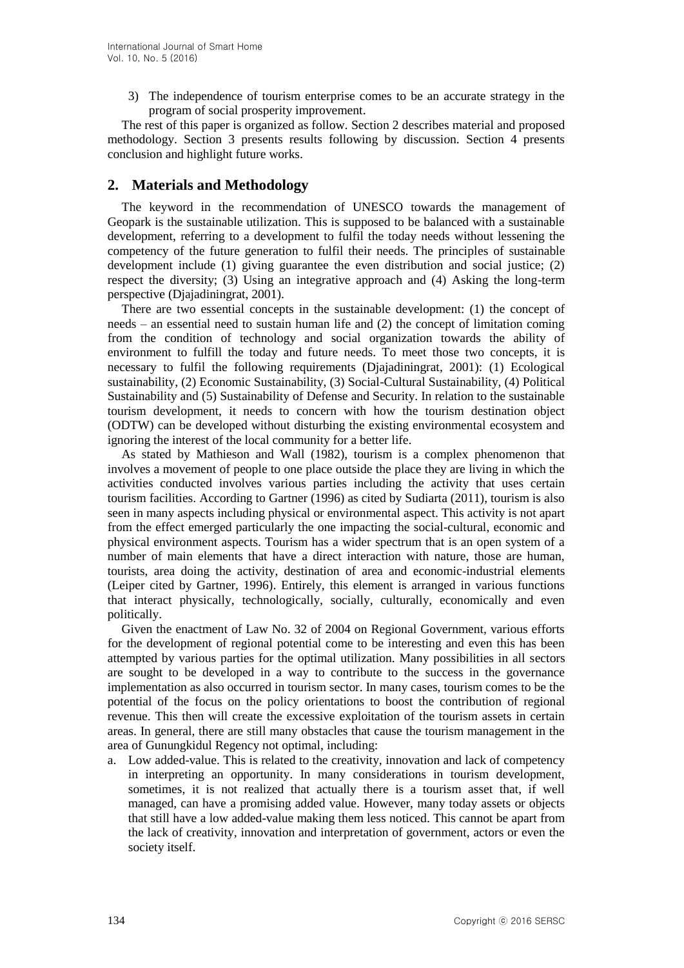3) The independence of tourism enterprise comes to be an accurate strategy in the program of social prosperity improvement.

The rest of this paper is organized as follow. Section 2 describes material and proposed methodology. Section 3 presents results following by discussion. Section 4 presents conclusion and highlight future works.

## **2. Materials and Methodology**

The keyword in the recommendation of UNESCO towards the management of Geopark is the sustainable utilization. This is supposed to be balanced with a sustainable development, referring to a development to fulfil the today needs without lessening the competency of the future generation to fulfil their needs. The principles of sustainable development include (1) giving guarantee the even distribution and social justice; (2) respect the diversity; (3) Using an integrative approach and (4) Asking the long-term perspective (Djajadiningrat, 2001).

There are two essential concepts in the sustainable development: (1) the concept of needs – an essential need to sustain human life and (2) the concept of limitation coming from the condition of technology and social organization towards the ability of environment to fulfill the today and future needs. To meet those two concepts, it is necessary to fulfil the following requirements (Djajadiningrat, 2001): (1) Ecological sustainability, (2) Economic Sustainability, (3) Social-Cultural Sustainability, (4) Political Sustainability and (5) Sustainability of Defense and Security. In relation to the sustainable tourism development, it needs to concern with how the tourism destination object (ODTW) can be developed without disturbing the existing environmental ecosystem and ignoring the interest of the local community for a better life.

As stated by Mathieson and Wall (1982), tourism is a complex phenomenon that involves a movement of people to one place outside the place they are living in which the activities conducted involves various parties including the activity that uses certain tourism facilities. According to Gartner (1996) as cited by Sudiarta (2011), tourism is also seen in many aspects including physical or environmental aspect. This activity is not apart from the effect emerged particularly the one impacting the social-cultural, economic and physical environment aspects. Tourism has a wider spectrum that is an open system of a number of main elements that have a direct interaction with nature, those are human, tourists, area doing the activity, destination of area and economic-industrial elements (Leiper cited by Gartner, 1996). Entirely, this element is arranged in various functions that interact physically, technologically, socially, culturally, economically and even politically.

Given the enactment of Law No. 32 of 2004 on Regional Government, various efforts for the development of regional potential come to be interesting and even this has been attempted by various parties for the optimal utilization. Many possibilities in all sectors are sought to be developed in a way to contribute to the success in the governance implementation as also occurred in tourism sector. In many cases, tourism comes to be the potential of the focus on the policy orientations to boost the contribution of regional revenue. This then will create the excessive exploitation of the tourism assets in certain areas. In general, there are still many obstacles that cause the tourism management in the area of Gunungkidul Regency not optimal, including:

a. Low added-value. This is related to the creativity, innovation and lack of competency in interpreting an opportunity. In many considerations in tourism development, sometimes, it is not realized that actually there is a tourism asset that, if well managed, can have a promising added value. However, many today assets or objects that still have a low added-value making them less noticed. This cannot be apart from the lack of creativity, innovation and interpretation of government, actors or even the society itself.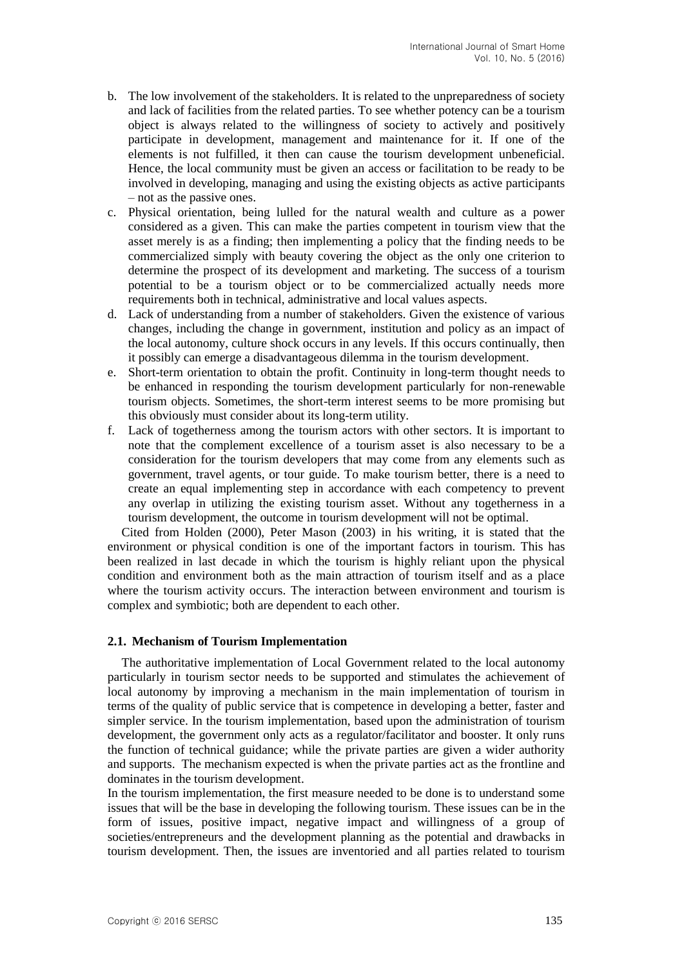- b. The low involvement of the stakeholders. It is related to the unpreparedness of society and lack of facilities from the related parties. To see whether potency can be a tourism object is always related to the willingness of society to actively and positively participate in development, management and maintenance for it. If one of the elements is not fulfilled, it then can cause the tourism development unbeneficial. Hence, the local community must be given an access or facilitation to be ready to be involved in developing, managing and using the existing objects as active participants – not as the passive ones.
- c. Physical orientation, being lulled for the natural wealth and culture as a power considered as a given. This can make the parties competent in tourism view that the asset merely is as a finding; then implementing a policy that the finding needs to be commercialized simply with beauty covering the object as the only one criterion to determine the prospect of its development and marketing. The success of a tourism potential to be a tourism object or to be commercialized actually needs more requirements both in technical, administrative and local values aspects.
- d. Lack of understanding from a number of stakeholders. Given the existence of various changes, including the change in government, institution and policy as an impact of the local autonomy, culture shock occurs in any levels. If this occurs continually, then it possibly can emerge a disadvantageous dilemma in the tourism development.
- e. Short-term orientation to obtain the profit. Continuity in long-term thought needs to be enhanced in responding the tourism development particularly for non-renewable tourism objects. Sometimes, the short-term interest seems to be more promising but this obviously must consider about its long-term utility.
- f. Lack of togetherness among the tourism actors with other sectors. It is important to note that the complement excellence of a tourism asset is also necessary to be a consideration for the tourism developers that may come from any elements such as government, travel agents, or tour guide. To make tourism better, there is a need to create an equal implementing step in accordance with each competency to prevent any overlap in utilizing the existing tourism asset. Without any togetherness in a tourism development, the outcome in tourism development will not be optimal.

Cited from Holden (2000), Peter Mason (2003) in his writing, it is stated that the environment or physical condition is one of the important factors in tourism. This has been realized in last decade in which the tourism is highly reliant upon the physical condition and environment both as the main attraction of tourism itself and as a place where the tourism activity occurs. The interaction between environment and tourism is complex and symbiotic; both are dependent to each other.

### **2.1. Mechanism of Tourism Implementation**

The authoritative implementation of Local Government related to the local autonomy particularly in tourism sector needs to be supported and stimulates the achievement of local autonomy by improving a mechanism in the main implementation of tourism in terms of the quality of public service that is competence in developing a better, faster and simpler service. In the tourism implementation, based upon the administration of tourism development, the government only acts as a regulator/facilitator and booster. It only runs the function of technical guidance; while the private parties are given a wider authority and supports. The mechanism expected is when the private parties act as the frontline and dominates in the tourism development.

In the tourism implementation, the first measure needed to be done is to understand some issues that will be the base in developing the following tourism. These issues can be in the form of issues, positive impact, negative impact and willingness of a group of societies/entrepreneurs and the development planning as the potential and drawbacks in tourism development. Then, the issues are inventoried and all parties related to tourism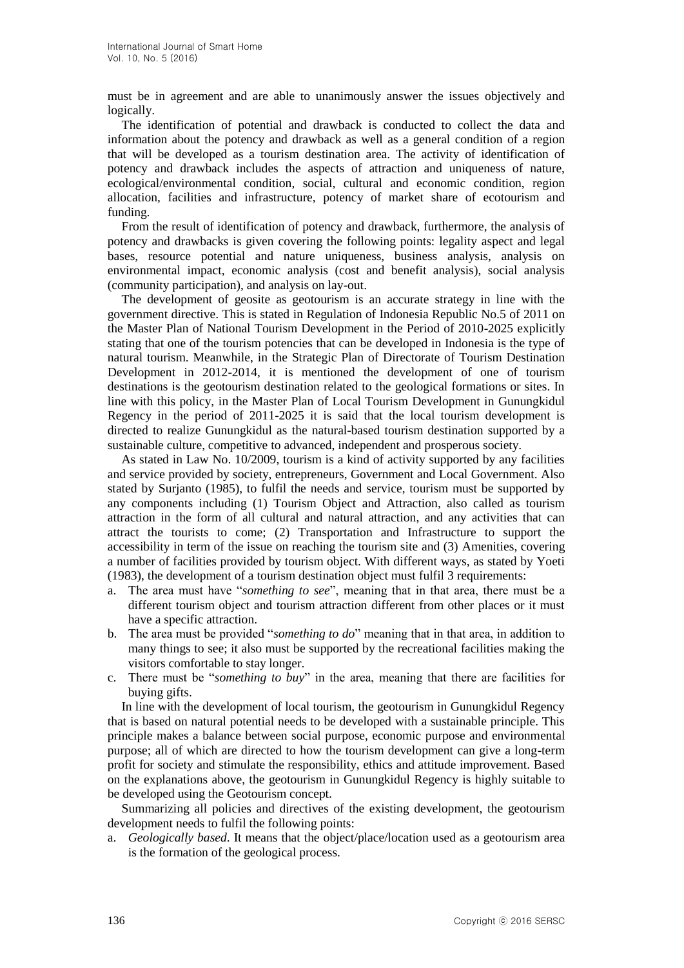must be in agreement and are able to unanimously answer the issues objectively and logically.

The identification of potential and drawback is conducted to collect the data and information about the potency and drawback as well as a general condition of a region that will be developed as a tourism destination area. The activity of identification of potency and drawback includes the aspects of attraction and uniqueness of nature, ecological/environmental condition, social, cultural and economic condition, region allocation, facilities and infrastructure, potency of market share of ecotourism and funding.

From the result of identification of potency and drawback, furthermore, the analysis of potency and drawbacks is given covering the following points: legality aspect and legal bases, resource potential and nature uniqueness, business analysis, analysis on environmental impact, economic analysis (cost and benefit analysis), social analysis (community participation), and analysis on lay-out.

The development of geosite as geotourism is an accurate strategy in line with the government directive. This is stated in Regulation of Indonesia Republic No.5 of 2011 on the Master Plan of National Tourism Development in the Period of 2010-2025 explicitly stating that one of the tourism potencies that can be developed in Indonesia is the type of natural tourism. Meanwhile, in the Strategic Plan of Directorate of Tourism Destination Development in 2012-2014, it is mentioned the development of one of tourism destinations is the geotourism destination related to the geological formations or sites. In line with this policy, in the Master Plan of Local Tourism Development in Gunungkidul Regency in the period of 2011-2025 it is said that the local tourism development is directed to realize Gunungkidul as the natural-based tourism destination supported by a sustainable culture, competitive to advanced, independent and prosperous society.

As stated in Law No. 10/2009, tourism is a kind of activity supported by any facilities and service provided by society, entrepreneurs, Government and Local Government. Also stated by Surjanto (1985), to fulfil the needs and service, tourism must be supported by any components including (1) Tourism Object and Attraction, also called as tourism attraction in the form of all cultural and natural attraction, and any activities that can attract the tourists to come; (2) Transportation and Infrastructure to support the accessibility in term of the issue on reaching the tourism site and (3) Amenities, covering a number of facilities provided by tourism object. With different ways, as stated by Yoeti (1983), the development of a tourism destination object must fulfil 3 requirements:

- a. The area must have "*something to see*", meaning that in that area, there must be a different tourism object and tourism attraction different from other places or it must have a specific attraction.
- b. The area must be provided "*something to do*" meaning that in that area, in addition to many things to see; it also must be supported by the recreational facilities making the visitors comfortable to stay longer.
- c. There must be "*something to buy*" in the area, meaning that there are facilities for buying gifts.

In line with the development of local tourism, the geotourism in Gunungkidul Regency that is based on natural potential needs to be developed with a sustainable principle. This principle makes a balance between social purpose, economic purpose and environmental purpose; all of which are directed to how the tourism development can give a long-term profit for society and stimulate the responsibility, ethics and attitude improvement. Based on the explanations above, the geotourism in Gunungkidul Regency is highly suitable to be developed using the Geotourism concept.

Summarizing all policies and directives of the existing development, the geotourism development needs to fulfil the following points:

a. *Geologically based*. It means that the object/place/location used as a geotourism area is the formation of the geological process.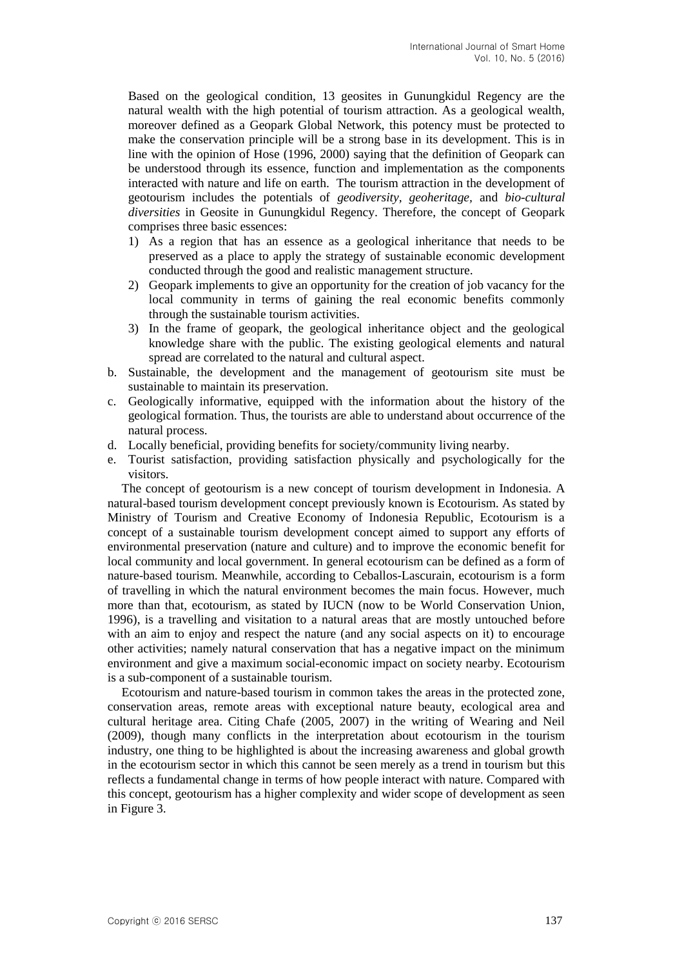Based on the geological condition, 13 geosites in Gunungkidul Regency are the natural wealth with the high potential of tourism attraction. As a geological wealth, moreover defined as a Geopark Global Network, this potency must be protected to make the conservation principle will be a strong base in its development. This is in line with the opinion of Hose (1996, 2000) saying that the definition of Geopark can be understood through its essence, function and implementation as the components interacted with nature and life on earth. The tourism attraction in the development of geotourism includes the potentials of *geodiversity, geoheritage,* and *bio-cultural diversities* in Geosite in Gunungkidul Regency. Therefore, the concept of Geopark comprises three basic essences:

- 1) As a region that has an essence as a geological inheritance that needs to be preserved as a place to apply the strategy of sustainable economic development conducted through the good and realistic management structure.
- 2) Geopark implements to give an opportunity for the creation of job vacancy for the local community in terms of gaining the real economic benefits commonly through the sustainable tourism activities.
- 3) In the frame of geopark, the geological inheritance object and the geological knowledge share with the public. The existing geological elements and natural spread are correlated to the natural and cultural aspect.
- b. Sustainable, the development and the management of geotourism site must be sustainable to maintain its preservation.
- c. Geologically informative, equipped with the information about the history of the geological formation. Thus, the tourists are able to understand about occurrence of the natural process.
- d. Locally beneficial, providing benefits for society/community living nearby.
- e. Tourist satisfaction, providing satisfaction physically and psychologically for the visitors.

The concept of geotourism is a new concept of tourism development in Indonesia. A natural-based tourism development concept previously known is Ecotourism. As stated by Ministry of Tourism and Creative Economy of Indonesia Republic, Ecotourism is a concept of a sustainable tourism development concept aimed to support any efforts of environmental preservation (nature and culture) and to improve the economic benefit for local community and local government. In general ecotourism can be defined as a form of nature-based tourism. Meanwhile, according to Ceballos-Lascurain, ecotourism is a form of travelling in which the natural environment becomes the main focus. However, much more than that, ecotourism, as stated by IUCN (now to be World Conservation Union, 1996), is a travelling and visitation to a natural areas that are mostly untouched before with an aim to enjoy and respect the nature (and any social aspects on it) to encourage other activities; namely natural conservation that has a negative impact on the minimum environment and give a maximum social-economic impact on society nearby. Ecotourism is a sub-component of a sustainable tourism.

Ecotourism and nature-based tourism in common takes the areas in the protected zone, conservation areas, remote areas with exceptional nature beauty, ecological area and cultural heritage area. Citing Chafe (2005, 2007) in the writing of Wearing and Neil (2009), though many conflicts in the interpretation about ecotourism in the tourism industry, one thing to be highlighted is about the increasing awareness and global growth in the ecotourism sector in which this cannot be seen merely as a trend in tourism but this reflects a fundamental change in terms of how people interact with nature. Compared with this concept, geotourism has a higher complexity and wider scope of development as seen in Figure 3.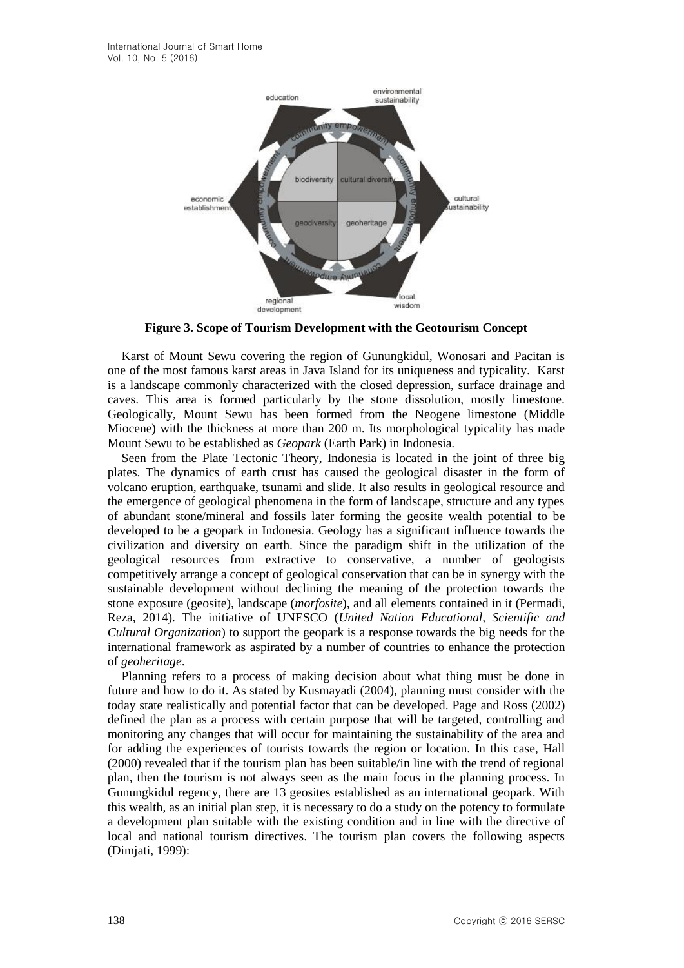

**Figure 3. Scope of Tourism Development with the Geotourism Concept**

Karst of Mount Sewu covering the region of Gunungkidul, Wonosari and Pacitan is one of the most famous karst areas in Java Island for its uniqueness and typicality. Karst is a landscape commonly characterized with the closed depression, surface drainage and caves. This area is formed particularly by the stone dissolution, mostly limestone. Geologically, Mount Sewu has been formed from the Neogene limestone (Middle Miocene) with the thickness at more than 200 m. Its morphological typicality has made Mount Sewu to be established as *Geopark* (Earth Park) in Indonesia.

Seen from the Plate Tectonic Theory, Indonesia is located in the joint of three big plates. The dynamics of earth crust has caused the geological disaster in the form of volcano eruption, earthquake, tsunami and slide. It also results in geological resource and the emergence of geological phenomena in the form of landscape, structure and any types of abundant stone/mineral and fossils later forming the geosite wealth potential to be developed to be a geopark in Indonesia. Geology has a significant influence towards the civilization and diversity on earth. Since the paradigm shift in the utilization of the geological resources from extractive to conservative, a number of geologists competitively arrange a concept of geological conservation that can be in synergy with the sustainable development without declining the meaning of the protection towards the stone exposure (geosite), landscape (*morfosite*), and all elements contained in it (Permadi, Reza, 2014). The initiative of UNESCO (*United Nation Educational, Scientific and Cultural Organization*) to support the geopark is a response towards the big needs for the international framework as aspirated by a number of countries to enhance the protection of *geoheritage*.

Planning refers to a process of making decision about what thing must be done in future and how to do it. As stated by Kusmayadi (2004), planning must consider with the today state realistically and potential factor that can be developed. Page and Ross (2002) defined the plan as a process with certain purpose that will be targeted, controlling and monitoring any changes that will occur for maintaining the sustainability of the area and for adding the experiences of tourists towards the region or location. In this case, Hall (2000) revealed that if the tourism plan has been suitable/in line with the trend of regional plan, then the tourism is not always seen as the main focus in the planning process. In Gunungkidul regency, there are 13 geosites established as an international geopark. With this wealth, as an initial plan step, it is necessary to do a study on the potency to formulate a development plan suitable with the existing condition and in line with the directive of local and national tourism directives. The tourism plan covers the following aspects (Dimjati, 1999):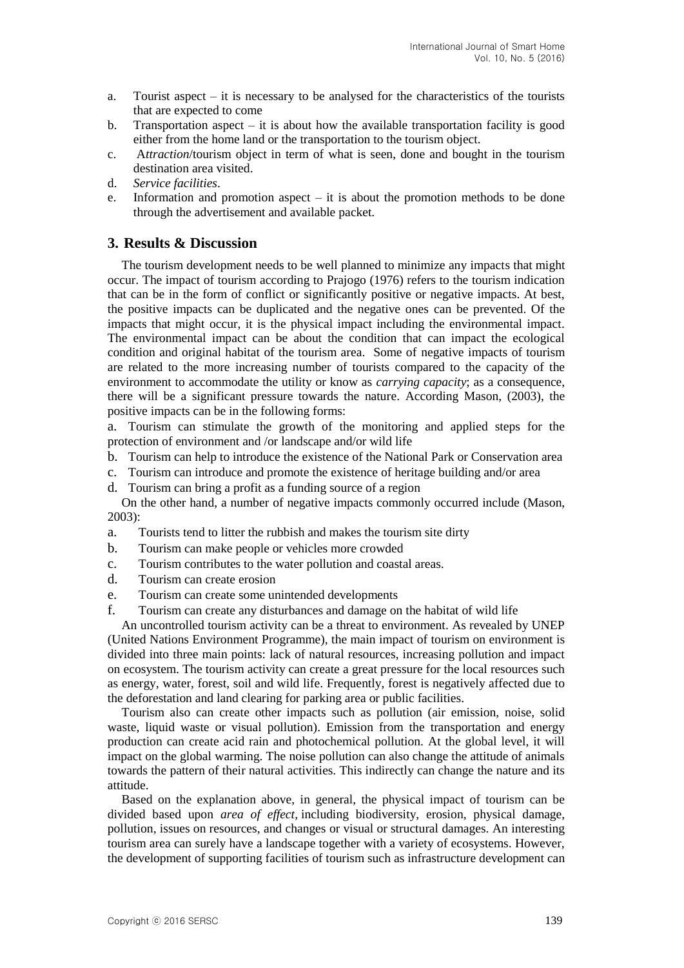- a. Tourist aspect  $-$  it is necessary to be analysed for the characteristics of the tourists that are expected to come
- b. Transportation aspect  $-$  it is about how the available transportation facility is good either from the home land or the transportation to the tourism object.
- c. A*ttraction*/tourism object in term of what is seen, done and bought in the tourism destination area visited.
- d. *Service facilities*.
- e. Information and promotion aspect  $-$  it is about the promotion methods to be done through the advertisement and available packet.

### **3. Results & Discussion**

The tourism development needs to be well planned to minimize any impacts that might occur. The impact of tourism according to Prajogo (1976) refers to the tourism indication that can be in the form of conflict or significantly positive or negative impacts. At best, the positive impacts can be duplicated and the negative ones can be prevented. Of the impacts that might occur, it is the physical impact including the environmental impact. The environmental impact can be about the condition that can impact the ecological condition and original habitat of the tourism area. Some of negative impacts of tourism are related to the more increasing number of tourists compared to the capacity of the environment to accommodate the utility or know as *carrying capacity*; as a consequence, there will be a significant pressure towards the nature. According Mason, (2003), the positive impacts can be in the following forms:

a. Tourism can stimulate the growth of the monitoring and applied steps for the protection of environment and /or landscape and/or wild life

- b. Tourism can help to introduce the existence of the National Park or Conservation area
- c. Tourism can introduce and promote the existence of heritage building and/or area
- d. Tourism can bring a profit as a funding source of a region

On the other hand, a number of negative impacts commonly occurred include (Mason, 2003):

- a. Tourists tend to litter the rubbish and makes the tourism site dirty
- b. Tourism can make people or vehicles more crowded
- c. Tourism contributes to the water pollution and coastal areas.
- d. Tourism can create erosion
- e. Tourism can create some unintended developments
- f. Tourism can create any disturbances and damage on the habitat of wild life

An uncontrolled tourism activity can be a threat to environment. As revealed by UNEP (United Nations Environment Programme), the main impact of tourism on environment is divided into three main points: lack of natural resources, increasing pollution and impact on ecosystem. The tourism activity can create a great pressure for the local resources such as energy, water, forest, soil and wild life. Frequently, forest is negatively affected due to the deforestation and land clearing for parking area or public facilities.

Tourism also can create other impacts such as pollution (air emission, noise, solid waste, liquid waste or visual pollution). Emission from the transportation and energy production can create acid rain and photochemical pollution. At the global level, it will impact on the global warming. The noise pollution can also change the attitude of animals towards the pattern of their natural activities. This indirectly can change the nature and its attitude.

Based on the explanation above, in general, the physical impact of tourism can be divided based upon *area of effect,* including biodiversity, erosion, physical damage, pollution, issues on resources, and changes or visual or structural damages. An interesting tourism area can surely have a landscape together with a variety of ecosystems. However, the development of supporting facilities of tourism such as infrastructure development can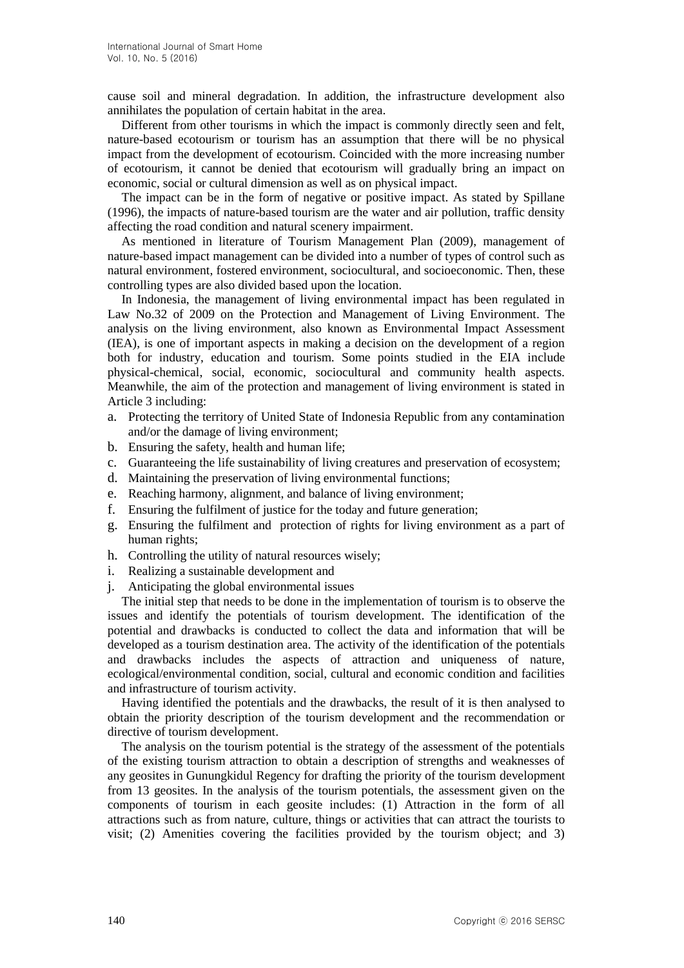cause soil and mineral degradation. In addition, the infrastructure development also annihilates the population of certain habitat in the area.

Different from other tourisms in which the impact is commonly directly seen and felt, nature-based ecotourism or tourism has an assumption that there will be no physical impact from the development of ecotourism. Coincided with the more increasing number of ecotourism, it cannot be denied that ecotourism will gradually bring an impact on economic, social or cultural dimension as well as on physical impact.

The impact can be in the form of negative or positive impact. As stated by Spillane (1996), the impacts of nature-based tourism are the water and air pollution, traffic density affecting the road condition and natural scenery impairment.

As mentioned in literature of Tourism Management Plan (2009), management of nature-based impact management can be divided into a number of types of control such as natural environment, fostered environment, sociocultural, and socioeconomic. Then, these controlling types are also divided based upon the location.

In Indonesia, the management of living environmental impact has been regulated in Law No.32 of 2009 on the Protection and Management of Living Environment. The analysis on the living environment, also known as Environmental Impact Assessment (IEA), is one of important aspects in making a decision on the development of a region both for industry, education and tourism. Some points studied in the EIA include physical-chemical, social, economic, sociocultural and community health aspects. Meanwhile, the aim of the protection and management of living environment is stated in Article 3 including:

- a. Protecting the territory of United State of Indonesia Republic from any contamination and/or the damage of living environment;
- b. Ensuring the safety, health and human life;
- c. Guaranteeing the life sustainability of living creatures and preservation of ecosystem;
- d. Maintaining the preservation of living environmental functions;
- e. Reaching harmony, alignment, and balance of living environment;
- f. Ensuring the fulfilment of justice for the today and future generation;
- g. Ensuring the fulfilment and protection of rights for living environment as a part of human rights;
- h. Controlling the utility of natural resources wisely;
- i. Realizing a sustainable development and
- j. Anticipating the global environmental issues

The initial step that needs to be done in the implementation of tourism is to observe the issues and identify the potentials of tourism development. The identification of the potential and drawbacks is conducted to collect the data and information that will be developed as a tourism destination area. The activity of the identification of the potentials and drawbacks includes the aspects of attraction and uniqueness of nature, ecological/environmental condition, social, cultural and economic condition and facilities and infrastructure of tourism activity.

Having identified the potentials and the drawbacks, the result of it is then analysed to obtain the priority description of the tourism development and the recommendation or directive of tourism development.

The analysis on the tourism potential is the strategy of the assessment of the potentials of the existing tourism attraction to obtain a description of strengths and weaknesses of any geosites in Gunungkidul Regency for drafting the priority of the tourism development from 13 geosites. In the analysis of the tourism potentials, the assessment given on the components of tourism in each geosite includes: (1) Attraction in the form of all attractions such as from nature, culture, things or activities that can attract the tourists to visit; (2) Amenities covering the facilities provided by the tourism object; and 3)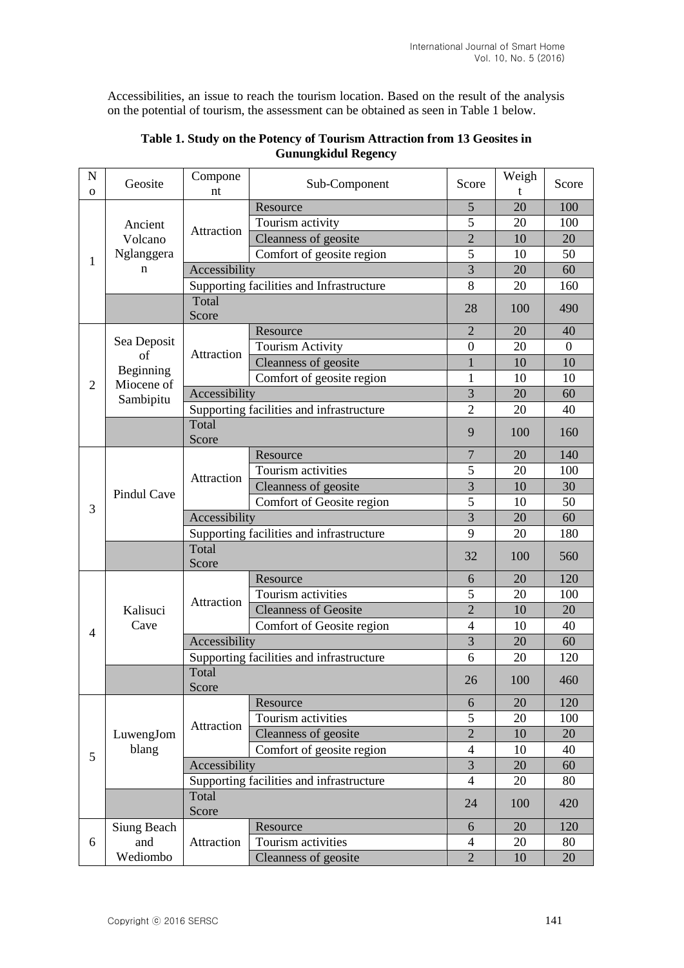Accessibilities, an issue to reach the tourism location. Based on the result of the analysis on the potential of tourism, the assessment can be obtained as seen in Table 1 below.

| $\mathbf N$    | Geosite                 | Compone                                  | Sub-Component                            | Score          | Weigh | Score            |
|----------------|-------------------------|------------------------------------------|------------------------------------------|----------------|-------|------------------|
| $\mathbf{O}$   | Ancient<br>Volcano      | nt                                       | Resource                                 | 5              | 20    | 100              |
|                |                         |                                          | Tourism activity                         | 5              | 20    | 100              |
|                |                         | Attraction                               | Cleanness of geosite                     | $\overline{2}$ | 10    | 20               |
|                | Nglanggera              |                                          | Comfort of geosite region                | 5              | 10    | 50               |
| 1              | n                       | Accessibility                            |                                          | 3              | 20    | 60               |
|                |                         | Supporting facilities and Infrastructure |                                          | 8              | 20    | 160              |
|                |                         | Total                                    |                                          |                |       |                  |
|                |                         | Score                                    |                                          | 28             | 100   | 490              |
|                | Sea Deposit<br>of       | Attraction                               | Resource                                 | $\overline{2}$ | 20    | 40               |
|                |                         |                                          | <b>Tourism Activity</b>                  | $\overline{0}$ | 20    | $\boldsymbol{0}$ |
|                |                         |                                          | Cleanness of geosite                     | $\mathbf{1}$   | 10    | 10               |
| $\overline{2}$ | Beginning<br>Miocene of |                                          | Comfort of geosite region                | 1              | 10    | 10               |
|                | Sambipitu               | Accessibility                            |                                          | 3              | 20    | 60               |
|                |                         |                                          | Supporting facilities and infrastructure | $\overline{2}$ | 20    | 40               |
|                |                         | Total                                    |                                          | 9              | 100   | 160              |
|                |                         | Score                                    |                                          |                |       |                  |
|                |                         |                                          | Resource                                 | $\overline{7}$ | 20    | 140              |
|                |                         | Attraction                               | Tourism activities                       | 5              | 20    | 100              |
|                | <b>Pindul Cave</b>      |                                          | Cleanness of geosite                     | 3              | 10    | 30               |
| 3              |                         |                                          | Comfort of Geosite region                | 5              | 10    | 50               |
|                |                         | Accessibility                            |                                          | 3              | 20    | 60               |
|                |                         | Supporting facilities and infrastructure |                                          | 9              | 20    | 180              |
|                |                         | Total                                    |                                          | 32             | 100   | 560              |
|                |                         | Score                                    |                                          |                |       |                  |
|                | Kalisuci<br>Cave        | Attraction                               | Resource                                 | 6              | 20    | 120              |
|                |                         |                                          | Tourism activities                       | 5              | 20    | 100              |
|                |                         |                                          | <b>Cleanness of Geosite</b>              | $\overline{2}$ | 10    | 20               |
| 4              |                         |                                          | Comfort of Geosite region                | $\overline{4}$ | 10    | 40               |
|                |                         | Accessibility                            |                                          | $\overline{3}$ | 20    | 60               |
|                |                         |                                          | Supporting facilities and infrastructure | 6              | 20    | 120              |
|                |                         | Total                                    |                                          | 26             | 100   | 460              |
|                |                         | Score                                    |                                          |                |       |                  |
|                |                         |                                          | Resource                                 | 6              | 20    | 120              |
|                | LuwengJom<br>blang      | Attraction                               | Tourism activities                       | 5              | 20    | 100              |
|                |                         |                                          | Cleanness of geosite                     | $\overline{2}$ | 10    | 20               |
| 5              |                         | Comfort of geosite region                |                                          | $\overline{4}$ | 10    | 40               |
|                |                         | Accessibility                            |                                          | 3              | 20    | 60               |
|                |                         |                                          | Supporting facilities and infrastructure |                | 20    | 80               |
|                |                         | Total<br>Score                           |                                          | 24             | 100   | 420              |
|                | Siung Beach<br>and      | Attraction                               | Resource                                 | 6              | 20    | 120              |
| 6              |                         |                                          | Tourism activities                       | $\overline{4}$ | 20    | 80               |
|                | Wediombo                |                                          | Cleanness of geosite                     | $\overline{2}$ | 10    | 20               |

### **Table 1. Study on the Potency of Tourism Attraction from 13 Geosites in Gunungkidul Regency**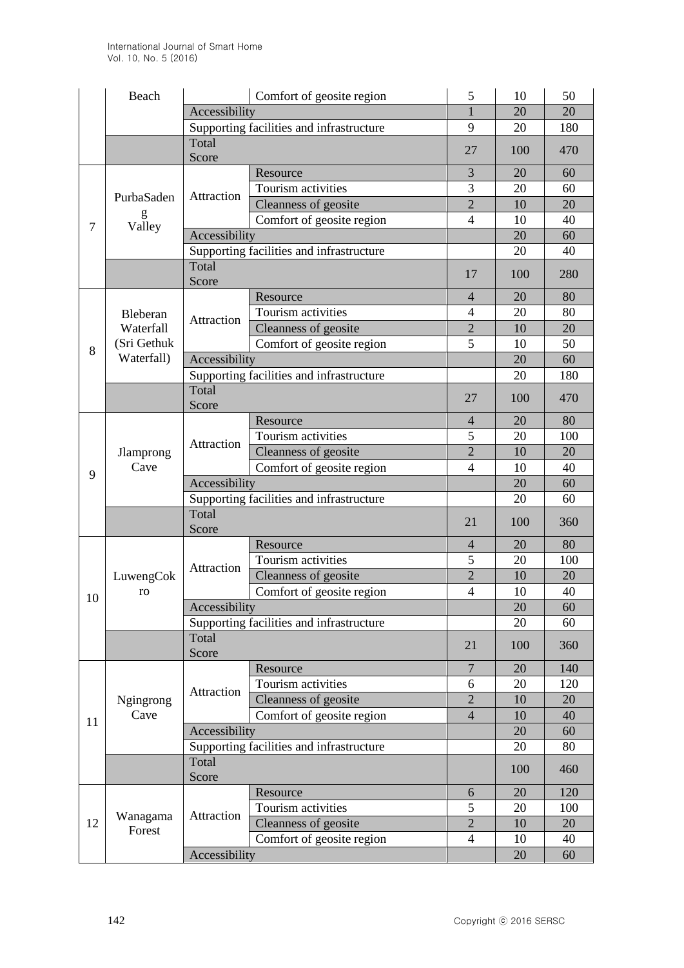|    | Beach              | Comfort of geosite region                |                                          | 5              | 10  | 50  |
|----|--------------------|------------------------------------------|------------------------------------------|----------------|-----|-----|
|    |                    | Accessibility                            |                                          |                | 20  | 20  |
|    |                    | Supporting facilities and infrastructure |                                          | 9              | 20  | 180 |
|    |                    | Total<br>Score                           |                                          | 27             | 100 | 470 |
|    |                    |                                          | Resource                                 | 3              | 20  | 60  |
|    | PurbaSaden         |                                          | Tourism activities                       | 3              | 20  | 60  |
|    |                    | Attraction                               | Cleanness of geosite                     | $\overline{2}$ | 10  | 20  |
| 7  | g<br>Valley        |                                          | Comfort of geosite region                | 4              | 10  | 40  |
|    |                    | Accessibility                            |                                          |                | 20  | 60  |
|    |                    | Supporting facilities and infrastructure |                                          |                | 20  | 40  |
|    |                    | Total<br>Score                           |                                          |                | 100 | 280 |
|    |                    |                                          | Resource                                 | $\overline{4}$ | 20  | 80  |
|    | Bleberan           |                                          | Tourism activities                       | $\overline{4}$ | 20  | 80  |
|    | Waterfall          | Attraction                               | Cleanness of geosite                     | $\overline{2}$ | 10  | 20  |
| 8  | (Sri Gethuk        |                                          | Comfort of geosite region                | 5              | 10  | 50  |
|    | Waterfall)         | Accessibility                            |                                          |                | 20  | 60  |
|    |                    |                                          | Supporting facilities and infrastructure |                | 20  | 180 |
|    |                    | Total<br>Score                           |                                          | 27             | 100 | 470 |
|    |                    |                                          | Resource                                 | $\overline{4}$ | 20  | 80  |
|    |                    | Attraction                               | Tourism activities                       | 5              | 20  | 100 |
|    | Jlamprong          |                                          | Cleanness of geosite                     | $\overline{2}$ | 10  | 20  |
| 9  | Cave               |                                          | Comfort of geosite region                | $\overline{4}$ | 10  | 40  |
|    |                    | Accessibility                            |                                          |                | 20  | 60  |
|    |                    | Supporting facilities and infrastructure |                                          |                | 20  | 60  |
|    |                    | Total                                    |                                          | 21             | 100 | 360 |
|    |                    | Score                                    |                                          |                |     |     |
|    | LuwengCok<br>ro    | Attraction                               | Resource                                 | $\overline{4}$ | 20  | 80  |
|    |                    |                                          | Tourism activities                       | 5              | 20  | 100 |
|    |                    |                                          | Cleanness of geosite                     | $\overline{2}$ | 10  | 20  |
| 10 |                    |                                          | Comfort of geosite region                | $\overline{4}$ | 10  | 40  |
|    |                    | Accessibility                            |                                          |                | 20  | 60  |
|    |                    | Supporting facilities and infrastructure |                                          |                | 20  | 60  |
|    |                    | Total<br>Score                           |                                          | 21             | 100 | 360 |
|    | Ngingrong<br>Cave  | Attraction                               | Resource                                 | 7              | 20  | 140 |
|    |                    |                                          | Tourism activities                       | 6              | 20  | 120 |
|    |                    |                                          | Cleanness of geosite                     | $\overline{2}$ | 10  | 20  |
| 11 |                    |                                          | Comfort of geosite region                | $\overline{4}$ | 10  | 40  |
|    |                    | Accessibility                            |                                          |                | 20  | 60  |
|    |                    | Supporting facilities and infrastructure |                                          |                | 20  | 80  |
|    |                    | Total<br>Score                           |                                          |                | 100 | 460 |
|    |                    | Attraction                               | Resource                                 | 6              | 20  | 120 |
| 12 | Wanagama<br>Forest |                                          | Tourism activities                       | 5              | 20  | 100 |
|    |                    |                                          | Cleanness of geosite                     | $\overline{2}$ | 10  | 20  |
|    |                    |                                          | Comfort of geosite region                | 4              | 10  | 40  |
|    |                    | Accessibility                            |                                          |                | 20  | 60  |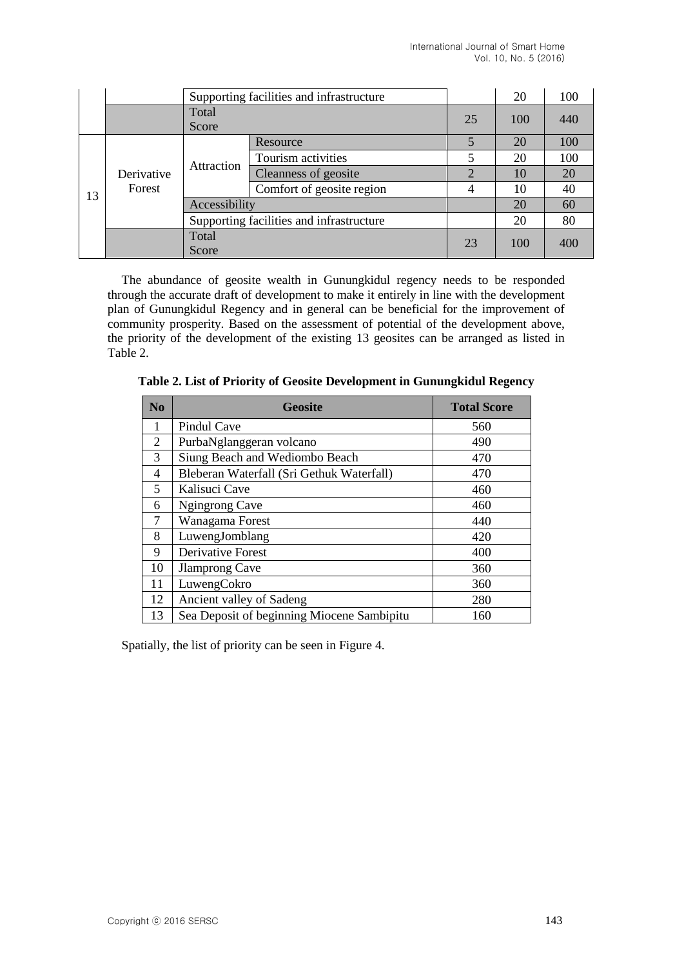|    |                      | Supporting facilities and infrastructure |                           |                | 20  | 100 |
|----|----------------------|------------------------------------------|---------------------------|----------------|-----|-----|
|    |                      | Total                                    | 25                        | 100            | 440 |     |
|    |                      | Score                                    |                           |                |     |     |
|    | Derivative<br>Forest | Attraction                               | Resource                  | 5              | 20  | 100 |
|    |                      |                                          | Tourism activities        | 5              | 20  | 100 |
| 13 |                      |                                          | Cleanness of geosite      | $\overline{2}$ | 10  | 20  |
|    |                      |                                          | Comfort of geosite region | 4              | 10  | 40  |
|    |                      | Accessibility                            |                           |                | 20  | 60  |
|    |                      | Supporting facilities and infrastructure |                           |                | 20  | 80  |
|    |                      | Total                                    |                           | 23             | 100 | 400 |
|    |                      | Score                                    |                           |                |     |     |

The abundance of geosite wealth in Gunungkidul regency needs to be responded through the accurate draft of development to make it entirely in line with the development plan of Gunungkidul Regency and in general can be beneficial for the improvement of community prosperity. Based on the assessment of potential of the development above, the priority of the development of the existing 13 geosites can be arranged as listed in Table 2.

**Table 2. List of Priority of Geosite Development in Gunungkidul Regency**

| N <sub>0</sub> | <b>Geosite</b>                             | <b>Total Score</b> |
|----------------|--------------------------------------------|--------------------|
| 1              | Pindul Cave                                | 560                |
| 2              | PurbaNglanggeran volcano                   | 490                |
| 3              | Siung Beach and Wediombo Beach             | 470                |
| 4              | Bleberan Waterfall (Sri Gethuk Waterfall)  | 470                |
| 5              | Kalisuci Cave                              | 460                |
| 6              | Ngingrong Cave                             | 460                |
| 7              | Wanagama Forest                            | 440                |
| 8              | LuwengJomblang                             | 420                |
| 9              | <b>Derivative Forest</b>                   | 400                |
| 10             | <b>Jlamprong Cave</b>                      | 360                |
| 11             | LuwengCokro                                | 360                |
| 12             | Ancient valley of Sadeng                   | 280                |
| 13             | Sea Deposit of beginning Miocene Sambipitu | 160                |

Spatially, the list of priority can be seen in Figure 4.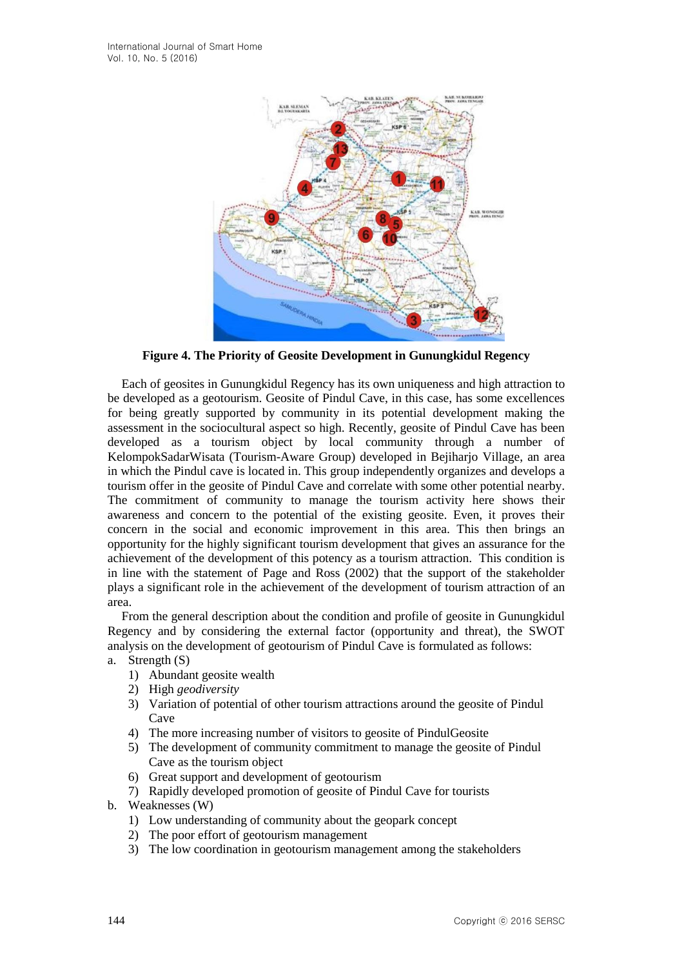

**Figure 4. The Priority of Geosite Development in Gunungkidul Regency** 

Each of geosites in Gunungkidul Regency has its own uniqueness and high attraction to be developed as a geotourism. Geosite of Pindul Cave, in this case, has some excellences for being greatly supported by community in its potential development making the assessment in the sociocultural aspect so high. Recently, geosite of Pindul Cave has been developed as a tourism object by local community through a number of KelompokSadarWisata (Tourism-Aware Group) developed in Bejiharjo Village, an area in which the Pindul cave is located in. This group independently organizes and develops a tourism offer in the geosite of Pindul Cave and correlate with some other potential nearby. The commitment of community to manage the tourism activity here shows their awareness and concern to the potential of the existing geosite. Even, it proves their concern in the social and economic improvement in this area. This then brings an opportunity for the highly significant tourism development that gives an assurance for the achievement of the development of this potency as a tourism attraction. This condition is in line with the statement of Page and Ross (2002) that the support of the stakeholder plays a significant role in the achievement of the development of tourism attraction of an area.

From the general description about the condition and profile of geosite in Gunungkidul Regency and by considering the external factor (opportunity and threat), the SWOT analysis on the development of geotourism of Pindul Cave is formulated as follows:

- a. Strength (S)
	- 1) Abundant geosite wealth
	- 2) High *geodiversity*
	- 3) Variation of potential of other tourism attractions around the geosite of Pindul Cave
	- 4) The more increasing number of visitors to geosite of PindulGeosite
	- 5) The development of community commitment to manage the geosite of Pindul Cave as the tourism object
	- 6) Great support and development of geotourism
	- 7) Rapidly developed promotion of geosite of Pindul Cave for tourists
- b. Weaknesses (W)
	- 1) Low understanding of community about the geopark concept
	- 2) The poor effort of geotourism management
	- 3) The low coordination in geotourism management among the stakeholders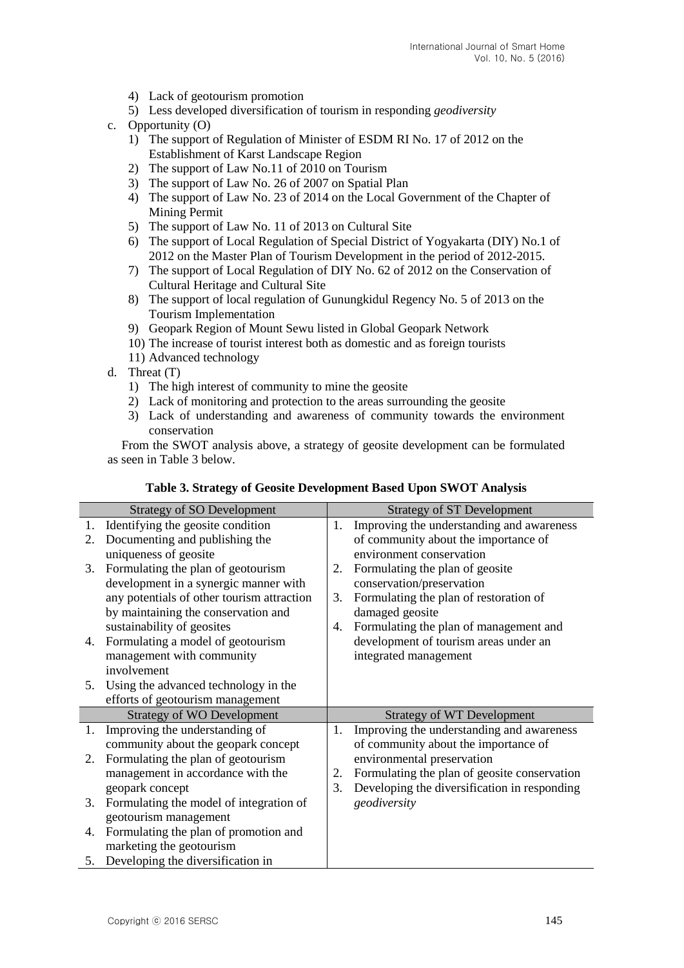- 4) Lack of geotourism promotion
- 5) Less developed diversification of tourism in responding *geodiversity*
- c. Opportunity (O)
	- 1) The support of Regulation of Minister of ESDM RI No. 17 of 2012 on the Establishment of Karst Landscape Region
	- 2) The support of Law No.11 of 2010 on Tourism
	- 3) The support of Law No. 26 of 2007 on Spatial Plan
	- 4) The support of Law No. 23 of 2014 on the Local Government of the Chapter of Mining Permit
	- 5) The support of Law No. 11 of 2013 on Cultural Site
	- 6) The support of Local Regulation of Special District of Yogyakarta (DIY) No.1 of 2012 on the Master Plan of Tourism Development in the period of 2012-2015.
	- 7) The support of Local Regulation of DIY No. 62 of 2012 on the Conservation of Cultural Heritage and Cultural Site
	- 8) The support of local regulation of Gunungkidul Regency No. 5 of 2013 on the Tourism Implementation
	- 9) Geopark Region of Mount Sewu listed in Global Geopark Network
	- 10) The increase of tourist interest both as domestic and as foreign tourists
	- 11) Advanced technology
- d. Threat (T)
	- 1) The high interest of community to mine the geosite
	- 2) Lack of monitoring and protection to the areas surrounding the geosite
	- 3) Lack of understanding and awareness of community towards the environment conservation

From the SWOT analysis above, a strategy of geosite development can be formulated as seen in Table 3 below.

| <b>Strategy of SO Development</b> |                                            | <b>Strategy of ST Development</b> |                                              |  |
|-----------------------------------|--------------------------------------------|-----------------------------------|----------------------------------------------|--|
| 1.                                | Identifying the geosite condition          | 1.                                | Improving the understanding and awareness    |  |
| 2.                                | Documenting and publishing the             |                                   | of community about the importance of         |  |
|                                   | uniqueness of geosite                      |                                   | environment conservation                     |  |
| 3.                                | Formulating the plan of geotourism         | 2.                                | Formulating the plan of geosite              |  |
|                                   | development in a synergic manner with      |                                   | conservation/preservation                    |  |
|                                   | any potentials of other tourism attraction | 3.                                | Formulating the plan of restoration of       |  |
|                                   | by maintaining the conservation and        |                                   | damaged geosite                              |  |
|                                   | sustainability of geosites                 | 4.                                | Formulating the plan of management and       |  |
| 4.                                | Formulating a model of geotourism          |                                   | development of tourism areas under an        |  |
|                                   | management with community                  |                                   | integrated management                        |  |
|                                   | involvement                                |                                   |                                              |  |
| 5.                                | Using the advanced technology in the       |                                   |                                              |  |
|                                   | efforts of geotourism management           |                                   |                                              |  |
|                                   | <b>Strategy of WO Development</b>          |                                   | <b>Strategy of WT Development</b>            |  |
| 1.                                | Improving the understanding of             | 1.                                | Improving the understanding and awareness    |  |
|                                   | community about the geopark concept        |                                   | of community about the importance of         |  |
| 2.                                | Formulating the plan of geotourism         |                                   | environmental preservation                   |  |
|                                   | management in accordance with the          | 2.                                | Formulating the plan of geosite conservation |  |
|                                   | geopark concept                            | 3.                                | Developing the diversification in responding |  |
| 3.                                | Formulating the model of integration of    |                                   | geodiversity                                 |  |
|                                   | geotourism management                      |                                   |                                              |  |
| 4.                                | Formulating the plan of promotion and      |                                   |                                              |  |
|                                   | marketing the geotourism                   |                                   |                                              |  |
|                                   | 5. Developing the diversification in       |                                   |                                              |  |

### **Table 3. Strategy of Geosite Development Based Upon SWOT Analysis**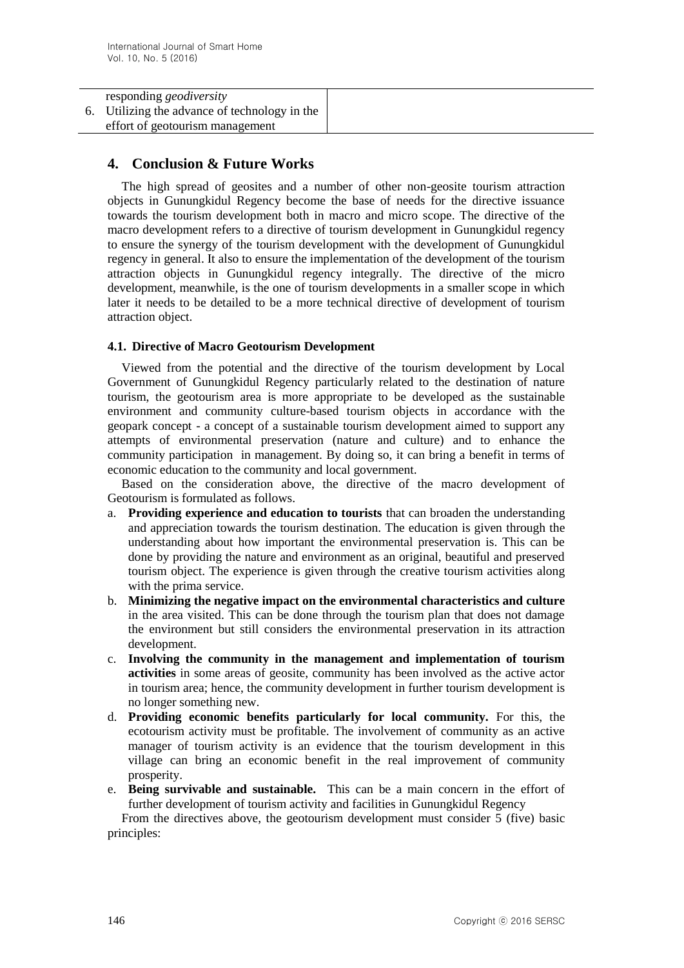#### responding *geodiversity* 6. Utilizing the advance of technology in the effort of geotourism management

# **4. Conclusion & Future Works**

The high spread of geosites and a number of other non-geosite tourism attraction objects in Gunungkidul Regency become the base of needs for the directive issuance towards the tourism development both in macro and micro scope. The directive of the macro development refers to a directive of tourism development in Gunungkidul regency to ensure the synergy of the tourism development with the development of Gunungkidul regency in general. It also to ensure the implementation of the development of the tourism attraction objects in Gunungkidul regency integrally. The directive of the micro development, meanwhile, is the one of tourism developments in a smaller scope in which later it needs to be detailed to be a more technical directive of development of tourism attraction object.

### **4.1. Directive of Macro Geotourism Development**

Viewed from the potential and the directive of the tourism development by Local Government of Gunungkidul Regency particularly related to the destination of nature tourism, the geotourism area is more appropriate to be developed as the sustainable environment and community culture-based tourism objects in accordance with the geopark concept - a concept of a sustainable tourism development aimed to support any attempts of environmental preservation (nature and culture) and to enhance the community participation in management. By doing so, it can bring a benefit in terms of economic education to the community and local government.

Based on the consideration above, the directive of the macro development of Geotourism is formulated as follows.

- a. **Providing experience and education to tourists** that can broaden the understanding and appreciation towards the tourism destination. The education is given through the understanding about how important the environmental preservation is. This can be done by providing the nature and environment as an original, beautiful and preserved tourism object. The experience is given through the creative tourism activities along with the prima service.
- b. **Minimizing the negative impact on the environmental characteristics and culture**  in the area visited. This can be done through the tourism plan that does not damage the environment but still considers the environmental preservation in its attraction development.
- c. **Involving the community in the management and implementation of tourism activities** in some areas of geosite, community has been involved as the active actor in tourism area; hence, the community development in further tourism development is no longer something new.
- d. **Providing economic benefits particularly for local community.** For this, the ecotourism activity must be profitable. The involvement of community as an active manager of tourism activity is an evidence that the tourism development in this village can bring an economic benefit in the real improvement of community prosperity.
- e. **Being survivable and sustainable.** This can be a main concern in the effort of further development of tourism activity and facilities in Gunungkidul Regency

From the directives above, the geotourism development must consider 5 (five) basic principles: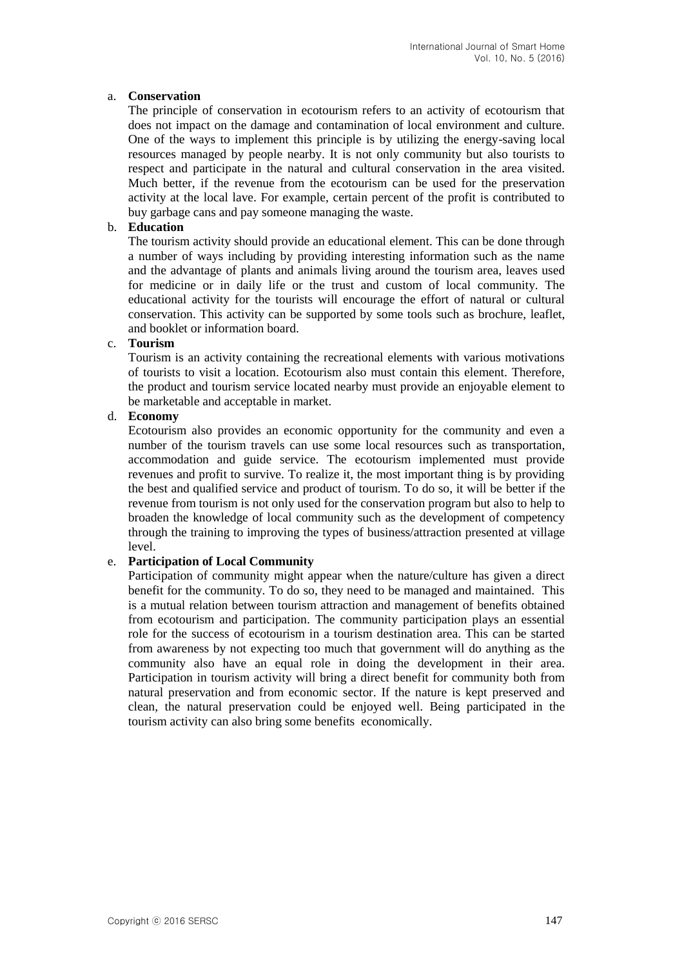### a. **Conservation**

The principle of conservation in ecotourism refers to an activity of ecotourism that does not impact on the damage and contamination of local environment and culture. One of the ways to implement this principle is by utilizing the energy-saving local resources managed by people nearby. It is not only community but also tourists to respect and participate in the natural and cultural conservation in the area visited. Much better, if the revenue from the ecotourism can be used for the preservation activity at the local lave. For example, certain percent of the profit is contributed to buy garbage cans and pay someone managing the waste.

### b. **Education**

The tourism activity should provide an educational element. This can be done through a number of ways including by providing interesting information such as the name and the advantage of plants and animals living around the tourism area, leaves used for medicine or in daily life or the trust and custom of local community. The educational activity for the tourists will encourage the effort of natural or cultural conservation. This activity can be supported by some tools such as brochure, leaflet, and booklet or information board.

### c. **Tourism**

Tourism is an activity containing the recreational elements with various motivations of tourists to visit a location. Ecotourism also must contain this element. Therefore, the product and tourism service located nearby must provide an enjoyable element to be marketable and acceptable in market.

### d. **Economy**

Ecotourism also provides an economic opportunity for the community and even a number of the tourism travels can use some local resources such as transportation, accommodation and guide service. The ecotourism implemented must provide revenues and profit to survive. To realize it, the most important thing is by providing the best and qualified service and product of tourism. To do so, it will be better if the revenue from tourism is not only used for the conservation program but also to help to broaden the knowledge of local community such as the development of competency through the training to improving the types of business/attraction presented at village level.

### e. **Participation of Local Community**

Participation of community might appear when the nature/culture has given a direct benefit for the community. To do so, they need to be managed and maintained. This is a mutual relation between tourism attraction and management of benefits obtained from ecotourism and participation. The community participation plays an essential role for the success of ecotourism in a tourism destination area. This can be started from awareness by not expecting too much that government will do anything as the community also have an equal role in doing the development in their area. Participation in tourism activity will bring a direct benefit for community both from natural preservation and from economic sector. If the nature is kept preserved and clean, the natural preservation could be enjoyed well. Being participated in the tourism activity can also bring some benefits economically.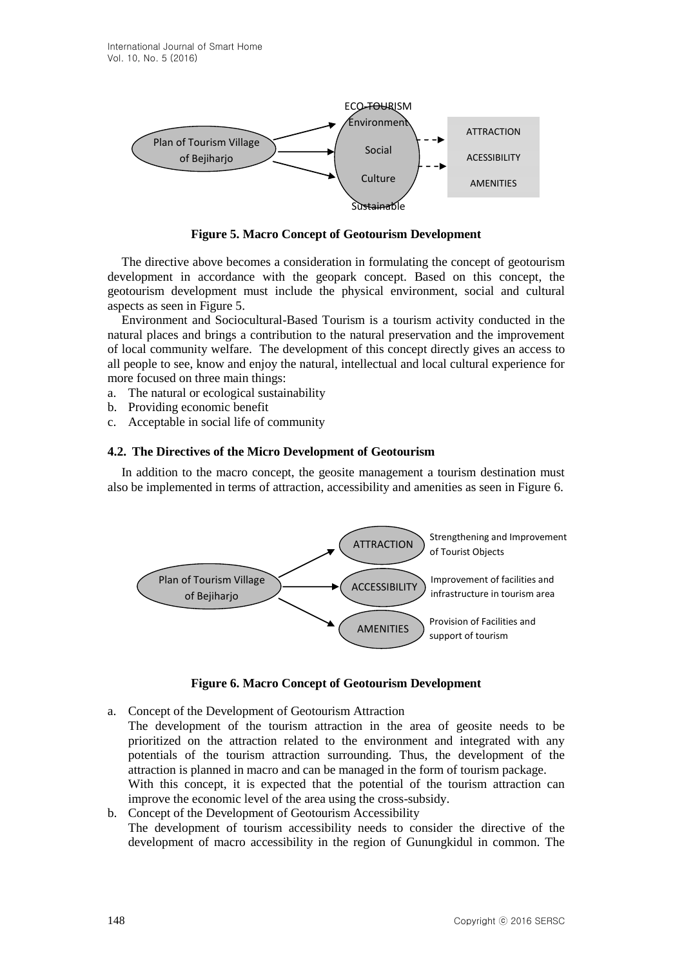

**Figure 5. Macro Concept of Geotourism Development**

The directive above becomes a consideration in formulating the concept of geotourism development in accordance with the geopark concept. Based on this concept, the geotourism development must include the physical environment, social and cultural aspects as seen in Figure 5.

Environment and Sociocultural-Based Tourism is a tourism activity conducted in the natural places and brings a contribution to the natural preservation and the improvement of local community welfare. The development of this concept directly gives an access to all people to see, know and enjoy the natural, intellectual and local cultural experience for more focused on three main things:

- a. The natural or ecological sustainability
- b. Providing economic benefit
- c. Acceptable in social life of community

#### **4.2. The Directives of the Micro Development of Geotourism**

In addition to the macro concept, the geosite management a tourism destination must also be implemented in terms of attraction, accessibility and amenities as seen in Figure 6.



#### **Figure 6. Macro Concept of Geotourism Development**

- a. Concept of the Development of Geotourism Attraction The development of the tourism attraction in the area of geosite needs to be prioritized on the attraction related to the environment and integrated with any potentials of the tourism attraction surrounding. Thus, the development of the attraction is planned in macro and can be managed in the form of tourism package. With this concept, it is expected that the potential of the tourism attraction can improve the economic level of the area using the cross-subsidy.
- b. Concept of the Development of Geotourism Accessibility The development of tourism accessibility needs to consider the directive of the development of macro accessibility in the region of Gunungkidul in common. The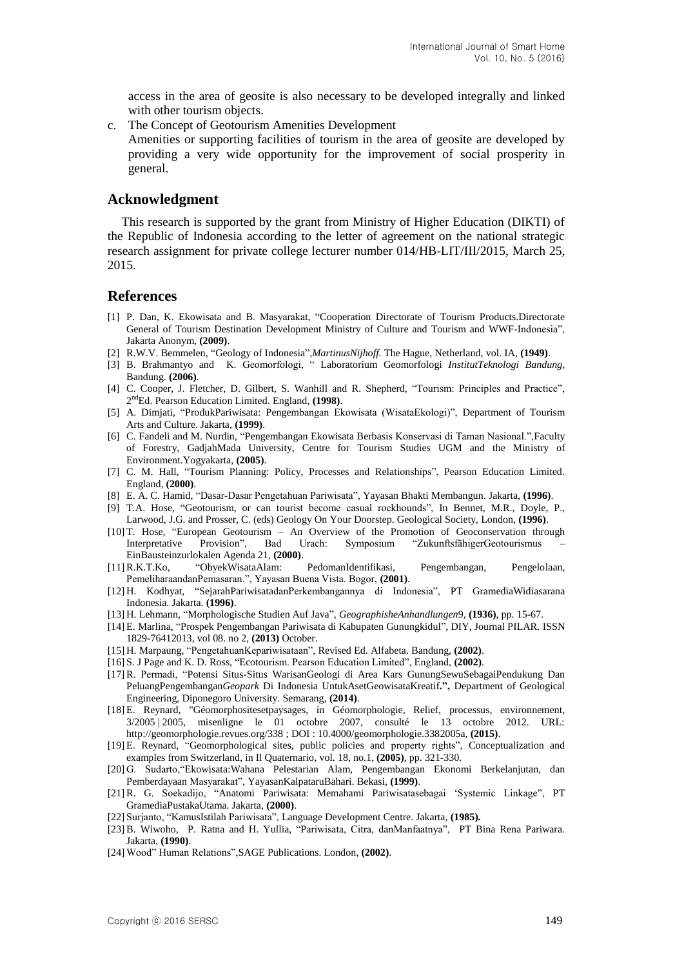access in the area of geosite is also necessary to be developed integrally and linked with other tourism objects.

c. The Concept of Geotourism Amenities Development

Amenities or supporting facilities of tourism in the area of geosite are developed by providing a very wide opportunity for the improvement of social prosperity in general.

#### **Acknowledgment**

This research is supported by the grant from Ministry of Higher Education (DIKTI) of the Republic of Indonesia according to the letter of agreement on the national strategic research assignment for private college lecturer number 014/HB-LIT/III/2015, March 25, 2015.

### **References**

- [1] P. Dan, K. Ekowisata and B. Masyarakat, "Cooperation Directorate of Tourism Products.Directorate General of Tourism Destination Development Ministry of Culture and Tourism and WWF-Indonesia", Jakarta Anonym, **(2009)**.
- [2] R.W.V. Bemmelen, "Geology of Indonesia",*MartinusNijhoff.* The Hague, Netherland, vol. IA, **(1949)**.
- [3] B. Brahmantyo and K. Geomorfologi, " Laboratorium Geomorfologi *InstitutTeknologi Bandung,* Bandung. **(2006)**.
- [4] C. Cooper, J. Fletcher, D. Gilbert, S. Wanhill and R. Shepherd, "Tourism: Principles and Practice", 2 ndEd. Pearson Education Limited. England, **(1998)**.
- [5] A. Dimjati, "ProdukPariwisata: Pengembangan Ekowisata (WisataEkologi)", Department of Tourism Arts and Culture. Jakarta, **(1999)**.
- [6] C. Fandeli and M. Nurdin, "Pengembangan Ekowisata Berbasis Konservasi di Taman Nasional.",Faculty of Forestry, GadjahMada University, Centre for Tourism Studies UGM and the Ministry of Environment.Yogyakarta, **(2005)**.
- [7] C. M. Hall, "Tourism Planning: Policy, Processes and Relationships", Pearson Education Limited. England, **(2000)**.
- [8] E. A. C. Hamid, "Dasar-Dasar Pengetahuan Pariwisata", Yayasan Bhakti Membangun. Jakarta, **(1996)**.
- [9] T.A. Hose, "Geotourism, or can tourist become casual rockhounds", In Bennet, M.R., Doyle, P., Larwood, J.G. and Prosser, C. (eds) Geology On Your Doorstep. Geological Society, London, **(1996)**.
- [10] T. Hose, "European Geotourism An Overview of the Promotion of Geoconservation through Interpretative Provision", Bad Urach: Symposium "ZukunftsfähigerGeotourismus – EinBausteinzurlokalen Agenda 21, **(2000)**.
- [11]R.K.T.Ko, "ObyekWisataAlam: PedomanIdentifikasi, Pengembangan, Pengelolaan, PemeliharaandanPemasaran.", Yayasan Buena Vista. Bogor, **(2001)**.
- [12] H. Kodhyat, "SejarahPariwisatadanPerkembangannya di Indonesia", PT GramediaWidiasarana Indonesia. Jakarta. **(1996)**.
- [13] H. Lehmann, "Morphologische Studien Auf Java", *GeographisheAnhandlungen*9, **(1936)**, pp. 15-67.
- [14] E. Marlina, "Prospek Pengembangan Pariwisata di Kabupaten Gunungkidul", DIY, Journal PILAR. ISSN 1829-76412013, vol 08. no 2, **(2013)** October.
- [15] H. Marpaung, "PengetahuanKepariwisataan", Revised Ed. Alfabeta. Bandung, **(2002)**.
- [16] S. J Page and K. D. Ross, "Ecotourism. Pearson Education Limited", England, **(2002)**.
- [17]R. Permadi, "Potensi Situs-Situs WarisanGeologi di Area Kars GunungSewuSebagaiPendukung Dan PeluangPengembangan*Geopark* Di Indonesia UntukAsetGeowisataKreatif**.",** Department of Geological Engineering, Diponegoro University. Semarang, **(2014)**.
- [18] E. Reynard, "Géomorphositesetpaysages, in Géomorphologie, Relief, processus, environnement, 3/2005 | 2005, misenligne le 01 octobre 2007, consulté le 13 octobre 2012. URL: http://geomorphologie.revues.org/338 ; DOI : 10.4000/geomorphologie.3382005a, **(2015)**.
- [19] E. Reynard, "Geomorphological sites, public policies and property rights", Conceptualization and examples from Switzerland, in Il Quaternario, vol. 18, no.1, **(2005)**, pp. 321-330.
- [20] G. Sudarto,"Ekowisata:Wahana Pelestarian Alam, Pengembangan Ekonomi Berkelanjutan, dan Pemberdayaan Masyarakat", YayasanKalpataruBahari. Bekasi, **(1999)**.
- [21]R. G. Soekadijo, "Anatomi Pariwisata: Memahami Pariwisatasebagai 'Systemic Linkage", PT GramediaPustakaUtama. Jakarta, **(2000)**.
- [22] Surjanto, "KamusIstilah Pariwisata", Language Development Centre. Jakarta, **(1985).**
- [23]B. Wiwoho, P. Ratna and H. Yullia, "Pariwisata, Citra, danManfaatnya", PT Bina Rena Pariwara. Jakarta, **(1990)**.
- [24] Wood" Human Relations",SAGE Publications. London, **(2002)**.